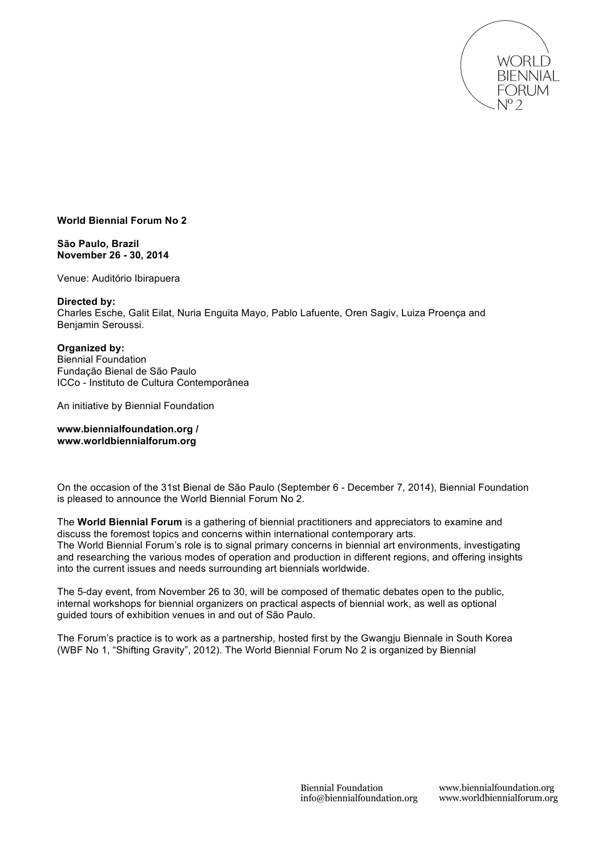

# **World Biennial Forum No 2**

**São Paulo, Brazil November 26 - 30, 2014**

Venue: Auditório Ibirapuera

## **Directed by:**

Charles Esche, Galit Eilat, Nuria Enguita Mayo, Pablo Lafuente, Oren Sagiv, Luiza Proença and Benjamin Seroussi.

## **Organized by:**

Biennial Foundation Fundação Bienal de São Paulo ICCo - Instituto de Cultura Contemporânea

An initiative by Biennial Foundation

**www.biennialfoundation.org / www.worldbiennialforum.org**

On the occasion of the 31st Bienal de São Paulo (September 6 - December 7, 2014), Biennial Foundation is pleased to announce the World Biennial Forum No 2.

The **World Biennial Forum** is a gathering of biennial practitioners and appreciators to examine and discuss the foremost topics and concerns within international contemporary arts. The World Biennial Forum's role is to signal primary concerns in biennial art environments, investigating and researching the various modes of operation and production in different regions, and offering insights into the current issues and needs surrounding art biennials worldwide.

The 5-day event, from November 26 to 30, will be composed of thematic debates open to the public, internal workshops for biennial organizers on practical aspects of biennial work, as well as optional guided tours of exhibition venues in and out of São Paulo.

The Forum's practice is to work as a partnership, hosted first by the Gwangju Biennale in South Korea (WBF No 1, "Shifting Gravity", 2012). The World Biennial Forum No 2 is organized by Biennial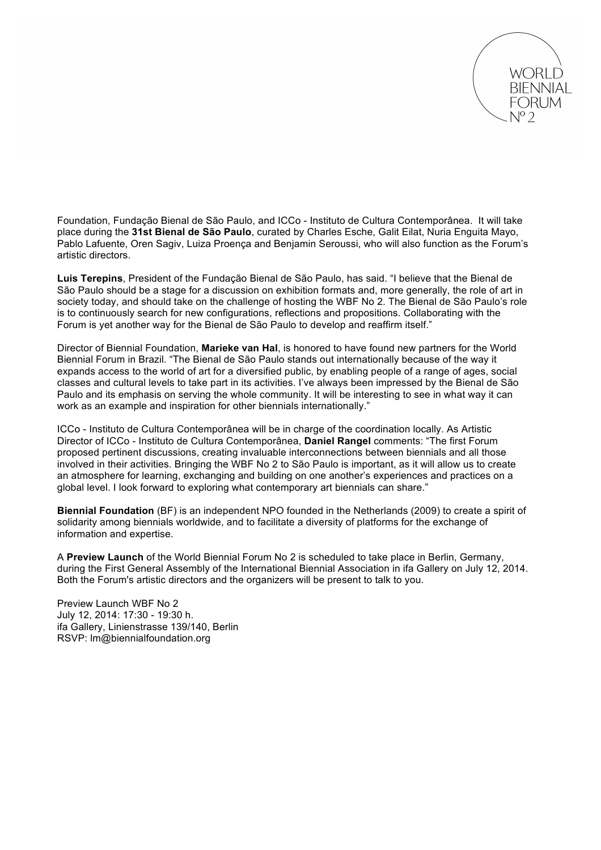

Foundation, Fundação Bienal de São Paulo, and ICCo - Instituto de Cultura Contemporânea. It will take place during the **31st Bienal de São Paulo**, curated by Charles Esche, Galit Eilat, Nuria Enguita Mayo, Pablo Lafuente, Oren Sagiv, Luiza Proença and Benjamin Seroussi, who will also function as the Forum's artistic directors.

**Luis Terepins**, President of the Fundação Bienal de São Paulo, has said. "I believe that the Bienal de São Paulo should be a stage for a discussion on exhibition formats and, more generally, the role of art in society today, and should take on the challenge of hosting the WBF No 2. The Bienal de São Paulo's role is to continuously search for new configurations, reflections and propositions. Collaborating with the Forum is yet another way for the Bienal de São Paulo to develop and reaffirm itself."

Director of Biennial Foundation, **Marieke van Hal**, is honored to have found new partners for the World Biennial Forum in Brazil. "The Bienal de São Paulo stands out internationally because of the way it expands access to the world of art for a diversified public, by enabling people of a range of ages, social classes and cultural levels to take part in its activities. I've always been impressed by the Bienal de São Paulo and its emphasis on serving the whole community. It will be interesting to see in what way it can work as an example and inspiration for other biennials internationally."

ICCo - Instituto de Cultura Contemporânea will be in charge of the coordination locally. As Artistic Director of ICCo - Instituto de Cultura Contemporânea, **Daniel Rangel** comments: "The first Forum proposed pertinent discussions, creating invaluable interconnections between biennials and all those involved in their activities. Bringing the WBF No 2 to São Paulo is important, as it will allow us to create an atmosphere for learning, exchanging and building on one another's experiences and practices on a global level. I look forward to exploring what contemporary art biennials can share."

**Biennial Foundation** (BF) is an independent NPO founded in the Netherlands (2009) to create a spirit of solidarity among biennials worldwide, and to facilitate a diversity of platforms for the exchange of information and expertise.

A **Preview Launch** of the World Biennial Forum No 2 is scheduled to take place in Berlin, Germany, during the First General Assembly of the International Biennial Association in ifa Gallery on July 12, 2014. Both the Forum's artistic directors and the organizers will be present to talk to you.

Preview Launch WBF No 2 July 12, 2014: 17:30 - 19:30 h. ifa Gallery, Linienstrasse 139/140, Berlin RSVP: lm@biennialfoundation.org